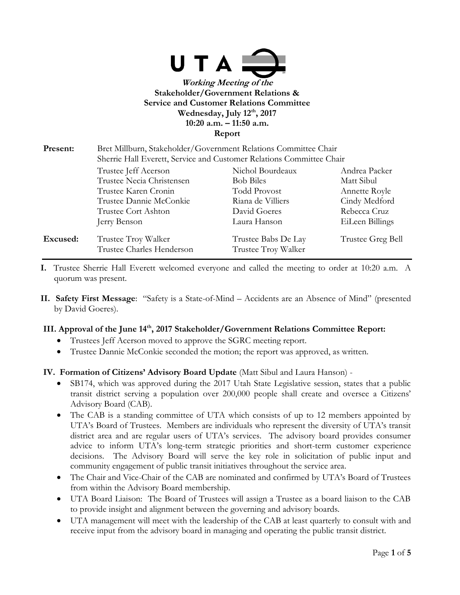

# **Wednesday, July 12th, 2017**

**10:20 a.m. – 11:50 a.m.**

**Report**

| Present: | Bret Millburn, Stakeholder/Government Relations Committee Chair<br>Sherrie Hall Everett, Service and Customer Relations Committee Chair |                                            |                   |
|----------|-----------------------------------------------------------------------------------------------------------------------------------------|--------------------------------------------|-------------------|
|          | Trustee Jeff Acerson                                                                                                                    | Nichol Bourdeaux                           | Andrea Packer     |
|          | Trustee Necia Christensen                                                                                                               | <b>Bob Biles</b>                           | Matt Sibul        |
|          | Trustee Karen Cronin                                                                                                                    | <b>Todd Provost</b>                        | Annette Royle     |
|          | Trustee Dannie McConkie                                                                                                                 | Riana de Villiers                          | Cindy Medford     |
|          | <b>Trustee Cort Ashton</b>                                                                                                              | David Goeres                               | Rebecca Cruz      |
|          | Jerry Benson                                                                                                                            | Laura Hanson                               | EiLeen Billings   |
| Excused: | Trustee Troy Walker<br>Trustee Charles Henderson                                                                                        | Trustee Babs De Lay<br>Trustee Troy Walker | Trustee Greg Bell |

- **I.** Trustee Sherrie Hall Everett welcomed everyone and called the meeting to order at 10:20 a.m. A quorum was present.
- **II. Safety First Message**: "Safety is a State-of-Mind Accidents are an Absence of Mind" (presented by David Goeres).

#### **III. Approval of the June 14th, 2017 Stakeholder/Government Relations Committee Report:**

- Trustees Jeff Acerson moved to approve the SGRC meeting report.
- Trustee Dannie McConkie seconded the motion; the report was approved, as written.

## **IV. Formation of Citizens' Advisory Board Update** (Matt Sibul and Laura Hanson) -

- SB174, which was approved during the 2017 Utah State Legislative session, states that a public transit district serving a population over 200,000 people shall create and oversee a Citizens' Advisory Board (CAB).
- The CAB is a standing committee of UTA which consists of up to 12 members appointed by UTA's Board of Trustees. Members are individuals who represent the diversity of UTA's transit district area and are regular users of UTA's services. The advisory board provides consumer advice to inform UTA's long-term strategic priorities and short-term customer experience decisions. The Advisory Board will serve the key role in solicitation of public input and community engagement of public transit initiatives throughout the service area.
- The Chair and Vice-Chair of the CAB are nominated and confirmed by UTA's Board of Trustees from within the Advisory Board membership.
- UTA Board Liaison: The Board of Trustees will assign a Trustee as a board liaison to the CAB to provide insight and alignment between the governing and advisory boards.
- UTA management will meet with the leadership of the CAB at least quarterly to consult with and receive input from the advisory board in managing and operating the public transit district.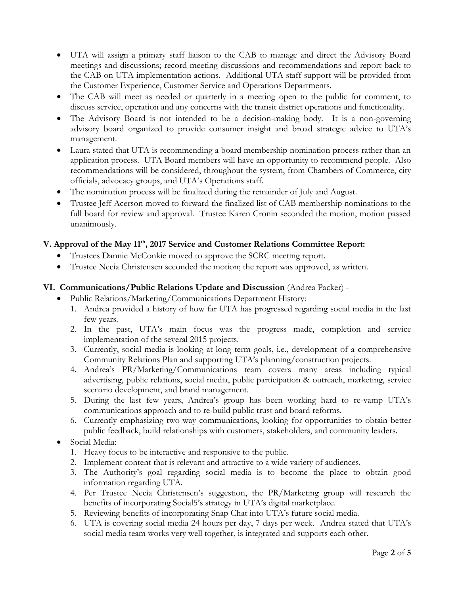- UTA will assign a primary staff liaison to the CAB to manage and direct the Advisory Board meetings and discussions; record meeting discussions and recommendations and report back to the CAB on UTA implementation actions. Additional UTA staff support will be provided from the Customer Experience, Customer Service and Operations Departments.
- The CAB will meet as needed or quarterly in a meeting open to the public for comment, to discuss service, operation and any concerns with the transit district operations and functionality.
- The Advisory Board is not intended to be a decision-making body. It is a non-governing advisory board organized to provide consumer insight and broad strategic advice to UTA's management.
- Laura stated that UTA is recommending a board membership nomination process rather than an application process. UTA Board members will have an opportunity to recommend people. Also recommendations will be considered, throughout the system, from Chambers of Commerce, city officials, advocacy groups, and UTA's Operations staff.
- The nomination process will be finalized during the remainder of July and August.
- Trustee Jeff Acerson moved to forward the finalized list of CAB membership nominations to the full board for review and approval. Trustee Karen Cronin seconded the motion, motion passed unanimously.

### **V. Approval of the May 11th, 2017 Service and Customer Relations Committee Report:**

- Trustees Dannie McConkie moved to approve the SCRC meeting report.
- Trustee Necia Christensen seconded the motion; the report was approved, as written.

#### **VI. Communications/Public Relations Update and Discussion** (Andrea Packer) -

- Public Relations/Marketing/Communications Department History:
	- 1. Andrea provided a history of how far UTA has progressed regarding social media in the last few years.
	- 2. In the past, UTA's main focus was the progress made, completion and service implementation of the several 2015 projects.
	- 3. Currently, social media is looking at long term goals, i.e., development of a comprehensive Community Relations Plan and supporting UTA's planning/construction projects.
	- 4. Andrea's PR/Marketing/Communications team covers many areas including typical advertising, public relations, social media, public participation & outreach, marketing, service scenario development, and brand management.
	- 5. During the last few years, Andrea's group has been working hard to re-vamp UTA's communications approach and to re-build public trust and board reforms.
	- 6. Currently emphasizing two-way communications, looking for opportunities to obtain better public feedback, build relationships with customers, stakeholders, and community leaders.
- Social Media:
	- 1. Heavy focus to be interactive and responsive to the public.
	- 2. Implement content that is relevant and attractive to a wide variety of audiences.
	- 3. The Authority's goal regarding social media is to become the place to obtain good information regarding UTA.
	- 4. Per Trustee Necia Christensen's suggestion, the PR/Marketing group will research the benefits of incorporating Social5's strategy in UTA's digital marketplace.
	- 5. Reviewing benefits of incorporating Snap Chat into UTA's future social media.
	- 6. UTA is covering social media 24 hours per day, 7 days per week. Andrea stated that UTA's social media team works very well together, is integrated and supports each other.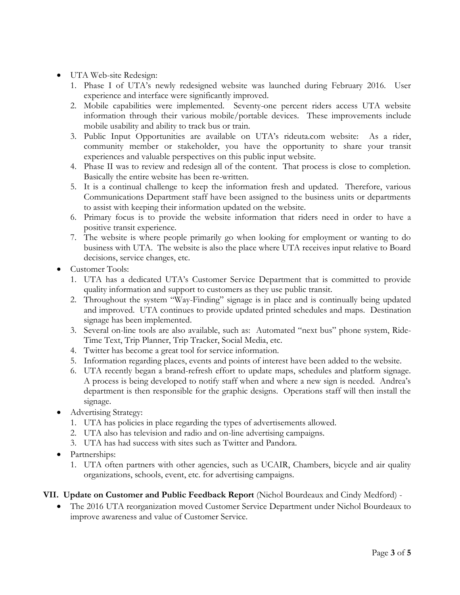- UTA Web-site Redesign:
	- 1. Phase I of UTA's newly redesigned website was launched during February 2016. User experience and interface were significantly improved.
	- 2. Mobile capabilities were implemented. Seventy-one percent riders access UTA website information through their various mobile/portable devices. These improvements include mobile usability and ability to track bus or train.
	- 3. Public Input Opportunities are available on UTA's rideuta.com website: As a rider, community member or stakeholder, you have the opportunity to share your transit experiences and valuable perspectives on this public input website.
	- 4. Phase II was to review and redesign all of the content. That process is close to completion. Basically the entire website has been re-written.
	- 5. It is a continual challenge to keep the information fresh and updated. Therefore, various Communications Department staff have been assigned to the business units or departments to assist with keeping their information updated on the website.
	- 6. Primary focus is to provide the website information that riders need in order to have a positive transit experience.
	- 7. The website is where people primarily go when looking for employment or wanting to do business with UTA. The website is also the place where UTA receives input relative to Board decisions, service changes, etc.
- Customer Tools:
	- 1. UTA has a dedicated UTA's Customer Service Department that is committed to provide quality information and support to customers as they use public transit.
	- 2. Throughout the system "Way-Finding" signage is in place and is continually being updated and improved. UTA continues to provide updated printed schedules and maps. Destination signage has been implemented.
	- 3. Several on-line tools are also available, such as: Automated "next bus" phone system, Ride-Time Text, Trip Planner, Trip Tracker, Social Media, etc.
	- 4. Twitter has become a great tool for service information.
	- 5. Information regarding places, events and points of interest have been added to the website.
	- 6. UTA recently began a brand-refresh effort to update maps, schedules and platform signage. A process is being developed to notify staff when and where a new sign is needed. Andrea's department is then responsible for the graphic designs. Operations staff will then install the signage.
- Advertising Strategy:
	- 1. UTA has policies in place regarding the types of advertisements allowed.
	- 2. UTA also has television and radio and on-line advertising campaigns.
	- 3. UTA has had success with sites such as Twitter and Pandora.
- Partnerships:
	- 1. UTA often partners with other agencies, such as UCAIR, Chambers, bicycle and air quality organizations, schools, event, etc. for advertising campaigns.

#### **VII. Update on Customer and Public Feedback Report** (Nichol Bourdeaux and Cindy Medford) -

 The 2016 UTA reorganization moved Customer Service Department under Nichol Bourdeaux to improve awareness and value of Customer Service.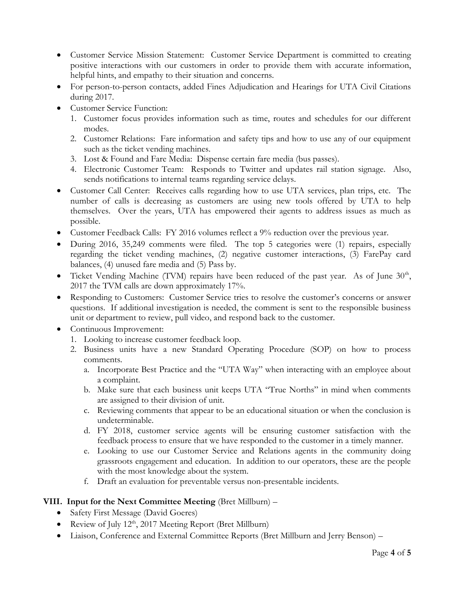- Customer Service Mission Statement: Customer Service Department is committed to creating positive interactions with our customers in order to provide them with accurate information, helpful hints, and empathy to their situation and concerns.
- For person-to-person contacts, added Fines Adjudication and Hearings for UTA Civil Citations during 2017.
- Customer Service Function:
	- 1. Customer focus provides information such as time, routes and schedules for our different modes.
	- 2. Customer Relations: Fare information and safety tips and how to use any of our equipment such as the ticket vending machines.
	- 3. Lost & Found and Fare Media: Dispense certain fare media (bus passes).
	- 4. Electronic Customer Team: Responds to Twitter and updates rail station signage. Also, sends notifications to internal teams regarding service delays.
- Customer Call Center: Receives calls regarding how to use UTA services, plan trips, etc. The number of calls is decreasing as customers are using new tools offered by UTA to help themselves. Over the years, UTA has empowered their agents to address issues as much as possible.
- Customer Feedback Calls: FY 2016 volumes reflect a 9% reduction over the previous year.
- During 2016, 35,249 comments were filed. The top 5 categories were (1) repairs, especially regarding the ticket vending machines, (2) negative customer interactions, (3) FarePay card balances, (4) unused fare media and (5) Pass by.
- Ticket Vending Machine (TVM) repairs have been reduced of the past year. As of June  $30<sup>th</sup>$ , 2017 the TVM calls are down approximately 17%.
- Responding to Customers: Customer Service tries to resolve the customer's concerns or answer questions. If additional investigation is needed, the comment is sent to the responsible business unit or department to review, pull video, and respond back to the customer.
- Continuous Improvement:
	- 1. Looking to increase customer feedback loop.
	- 2. Business units have a new Standard Operating Procedure (SOP) on how to process comments.
		- a. Incorporate Best Practice and the "UTA Way" when interacting with an employee about a complaint.
		- b. Make sure that each business unit keeps UTA "True Norths" in mind when comments are assigned to their division of unit.
		- c. Reviewing comments that appear to be an educational situation or when the conclusion is undeterminable.
		- d. FY 2018, customer service agents will be ensuring customer satisfaction with the feedback process to ensure that we have responded to the customer in a timely manner.
		- e. Looking to use our Customer Service and Relations agents in the community doing grassroots engagement and education. In addition to our operators, these are the people with the most knowledge about the system.
		- f. Draft an evaluation for preventable versus non-presentable incidents.

## **VIII. Input for the Next Committee Meeting** (Bret Millburn) –

- Safety First Message (David Goeres)
- Review of July  $12<sup>th</sup>$ , 2017 Meeting Report (Bret Millburn)
- Liaison, Conference and External Committee Reports (Bret Millburn and Jerry Benson) –